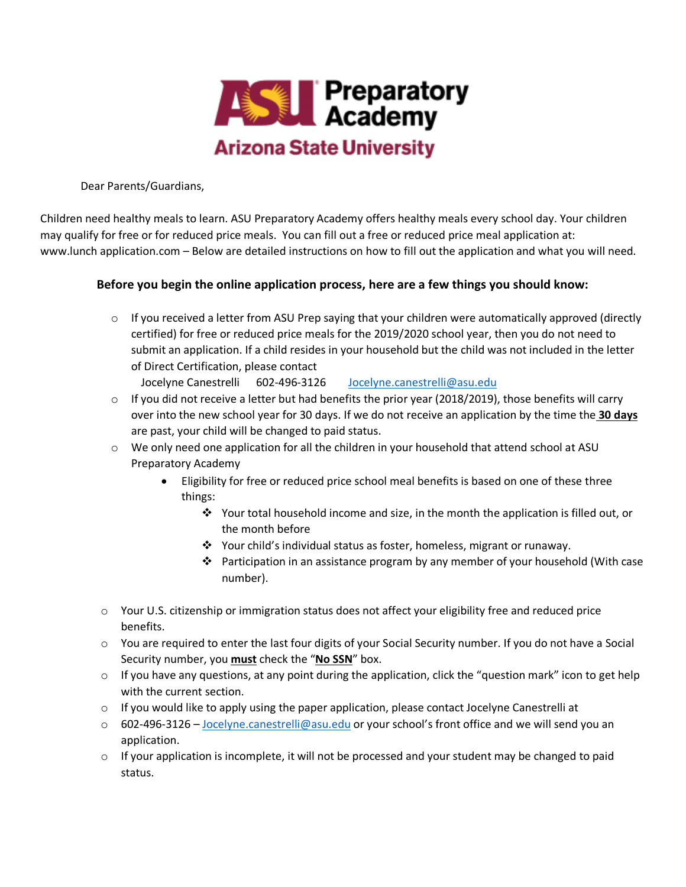

Dear Parents/Guardians,

Children need healthy meals to learn. ASU Preparatory Academy offers healthy meals every school day. Your children may qualify for free or for reduced price meals. You can fill out a free or reduced price meal application at: www.lunch application.com – Below are detailed instructions on how to fill out the application and what you will need.

## **Before you begin the online application process, here are a few things you should know:**

 $\circ$  If you received a letter from ASU Prep saying that your children were automatically approved (directly certified) for free or reduced price meals for the 2019/2020 school year, then you do not need to submit an application. If a child resides in your household but the child was not included in the letter of Direct Certification, please contact

Jocelyne Canestrelli 602-496-3126 Jocelyne.canestrelli@asu.edu

- o If you did not receive a letter but had benefits the prior year (2018/2019), those benefits will carry over into the new school year for 30 days. If we do not receive an application by the time the **30 days**  are past, your child will be changed to paid status.
- o We only need one application for all the children in your household that attend school at ASU Preparatory Academy
	- Eligibility for free or reduced price school meal benefits is based on one of these three things:
		- Your total household income and size, in the month the application is filled out, or the month before
		- v Your child's individual status as foster, homeless, migrant or runaway.
		- **•** Participation in an assistance program by any member of your household (With case number).
- $\circ$  Your U.S. citizenship or immigration status does not affect your eligibility free and reduced price benefits.
- o You are required to enter the last four digits of your Social Security number. If you do not have a Social Security number, you **must** check the "**No SSN**" box.
- $\circ$  If you have any questions, at any point during the application, click the "question mark" icon to get help with the current section.
- $\circ$  If you would like to apply using the paper application, please contact Jocelyne Canestrelli at
- o 602-496-3126 Jocelyne.canestrelli@asu.edu or your school's front office and we will send you an application.
- $\circ$  If your application is incomplete, it will not be processed and your student may be changed to paid status.